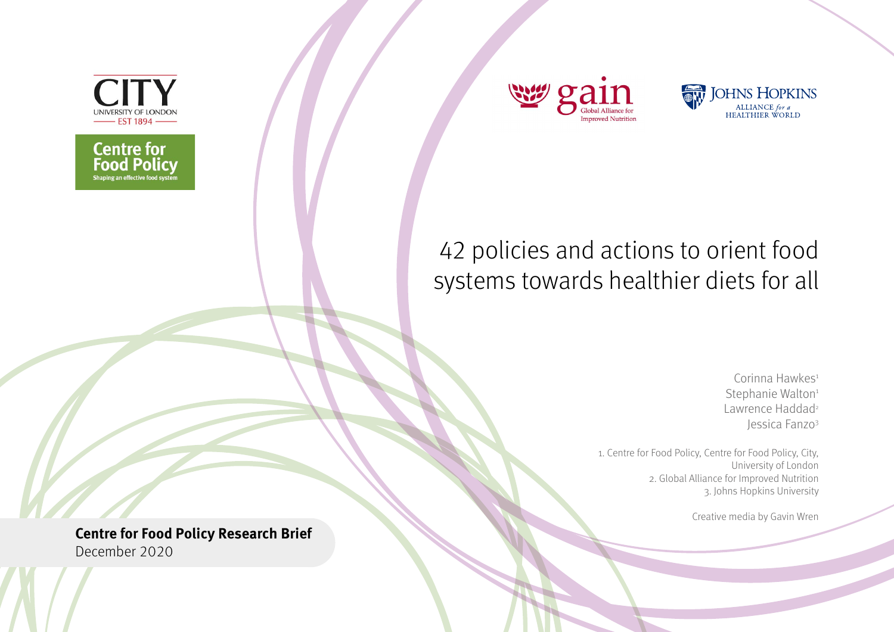

**Centre for<br>Food Policy**<br>**Shaping an effective food system** 





# 42 policies and actions to orient food systems towards healthier diets for all

Corinna Hawkes<sup>1</sup> Stephanie Walton<sup>1</sup> Lawrence Haddad<sup>2</sup> Jessica Fanzo3

1. Centre for Food Policy, Centre for Food Policy, City, University of London 2. Global Alliance for Improved Nutrition 3. Johns Hopkins University

Creative media by Gavin Wren

**Centre for Food Policy Research Brief**  December 2020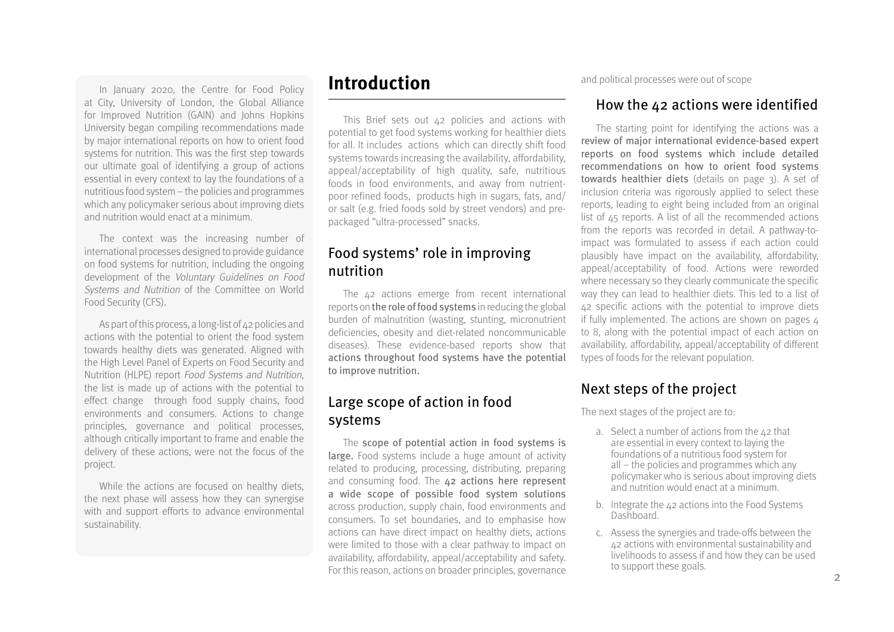In January 2020, the Centre for Food Policy at City, University of London, the Global Alliance for Improved Nutrition (GAIN) and Johns Hopkins University began compiling recommendations made by major international reports on how to orient food systems for nutrition. This was the first step towards our ultimate goal of identifying a group of actions essential in every context to lay the foundations of a nutritious food system – the policies and programmes which any policymaker serious about improving diets and nutrition would enact at a minimum.

The context was the increasing number of international processes designed to provide guidance on food systems for nutrition, including the ongoing development of the Voluntary Guidelines on Food Systems and Nutrition of the Committee on World Food Security (CFS).

As part of this process, a long-list of 42 policies and actions with the potential to orient the food system towards healthy diets was generated. Aligned with the High Level Panel of Experts on Food Security and Nutrition (HLPE) report Food Systems and Nutrition, the list is made up of actions with the potential to effect change through food supply chains, food environments and consumers. Actions to change principles, governance and political processes, although critically important to frame and enable the delivery of these actions, were not the focus of the project.

While the actions are focused on healthy diets. the next phase will assess how they can synergise with and support efforts to advance environmental sustainability.

### **Introduction**

This Brief sets out 42 policies and actions with potential to get food systems working for healthier diets for all. It includes actions which can directly shift food systems towards increasing the availability, affordability, appeal/acceptability of high quality, safe, nutritious foods in food environments, and away from nutrientpoor refined foods, products high in sugars, fats, and/ or salt (e.g. fried foods sold by street vendors) and prepackaged "ultra-processed" snacks.

### Food systems' role in improving nutrition

The 42 actions emerge from recent international reports on the role of food systems in reducing the global burden of malnutrition (wasting, stunting, micronutrient deficiencies, obesity and diet-related noncommunicable diseases). These evidence-based reports show that actions throughout food systems have the potential to improve nutrition.

### Large scope of action in food systems

The scope of potential action in food systems is large. Food systems include a huge amount of activity related to producing, processing, distributing, preparing and consuming food. The 42 actions here represent a wide scope of possible food system solutions across production, supply chain, food environments and consumers. To set boundaries, and to emphasise how actions can have direct impact on healthy diets, actions were limited to those with a clear pathway to impact on availability, affordability, appeal/acceptability and safety. For this reason, actions on broader principles, governance

and political processes were out of scope

### How the 42 actions were identified

The starting point for identifying the actions was a review of major international evidence-based expert reports on food systems which include detailed recommendations on how to orient food systems towards healthier diets (details on page 3). A set of inclusion criteria was rigorously applied to select these reports, leading to eight being included from an original list of 45 reports. A list of all the recommended actions from the reports was recorded in detail. A pathway-toimpact was formulated to assess if each action could plausibly have impact on the availability, affordability, appeal/acceptability of food. Actions were reworded where necessary so they clearly communicate the specific way they can lead to healthier diets. This led to a list of 42 specific actions with the potential to improve diets if fully implemented. The actions are shown on pages  $\mu$ [to 8,](#page-3-0) along with the potential impact of each action on availability, affordability, appeal/acceptability of different types of foods for the relevant population.

### Next steps of the project

The next stages of the project are to:

- a. Select a number of actions from the  $42$  that are essential in every context to laying the foundations of a nutritious food system for all – the policies and programmes which any policymaker who is serious about improving diets and nutrition would enact at a minimum.
- b. Integrate the 42 actions into the Food Systems Dashboard.
- c. Assess the synergies and trade-offs between the 42 actions with environmental sustainability and livelihoods to assess if and how they can be used to support these goals.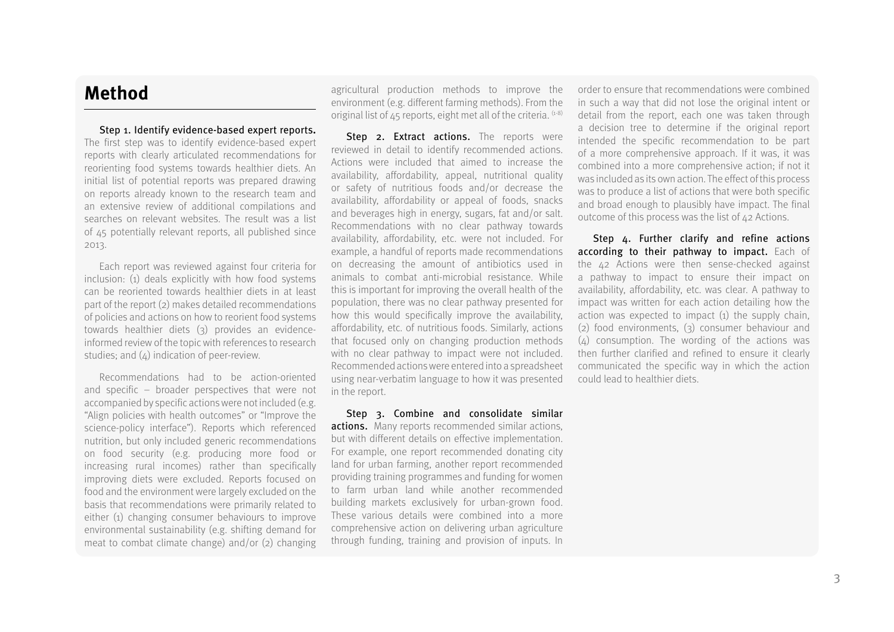### **Method**

Step 1. Identify evidence-based expert reports**.** The first step was to identify evidence-based expert reports with clearly articulated recommendations for reorienting food systems towards healthier diets. An initial list of potential reports was prepared drawing on reports already known to the research team and an extensive review of additional compilations and searches on relevant websites. The result was a list of 45 potentially relevant reports, all published since 2013.

Each report was reviewed against four criteria for inclusion: (1) deals explicitly with how food systems can be reoriented towards healthier diets in at least part of the report (2) makes detailed recommendations of policies and actions on how to reorient food systems towards healthier diets (3) provides an evidenceinformed review of the topic with references to research studies: and  $(\Delta)$  indication of peer-review.

Recommendations had to be action-oriented and specific – broader perspectives that were not accompanied by specific actions were not included (e.g. "Align policies with health outcomes" or "Improve the science-policy interface"). Reports which referenced nutrition, but only included generic recommendations on food security (e.g. producing more food or increasing rural incomes) rather than specifically improving diets were excluded. Reports focused on food and the environment were largely excluded on the basis that recommendations were primarily related to either (1) changing consumer behaviours to improve environmental sustainability (e.g. shifting demand for meat to combat climate change) and/or (2) changing

agricultural production methods to improve the environment (e.g. different farming methods). From the original list of  $45$  reports, eight met all of the criteria.  $(1-8)$ 

Step 2. Extract actions. The reports were reviewed in detail to identify recommended actions. Actions were included that aimed to increase the availability, affordability, appeal, nutritional quality or safety of nutritious foods and/or decrease the availability, affordability or appeal of foods, snacks and beverages high in energy, sugars, fat and/or salt. Recommendations with no clear pathway towards availability, affordability, etc. were not included. For example, a handful of reports made recommendations on decreasing the amount of antibiotics used in animals to combat anti-microbial resistance. While this is important for improving the overall health of the population, there was no clear pathway presented for how this would specifically improve the availability, affordability, etc. of nutritious foods. Similarly, actions that focused only on changing production methods with no clear pathway to impact were not included. Recommended actions were entered into a spreadsheet using near-verbatim language to how it was presented in the report.

Step 3. Combine and consolidate similar actions.Many reports recommended similar actions, but with different details on effective implementation. For example, one report recommended donating city land for urban farming, another report recommended providing training programmes and funding for women to farm urban land while another recommended building markets exclusively for urban-grown food. These various details were combined into a more comprehensive action on delivering urban agriculture through funding, training and provision of inputs. In

order to ensure that recommendations were combined in such a way that did not lose the original intent or detail from the report, each one was taken through a decision tree to determine if the original report intended the specific recommendation to be part of a more comprehensive approach. If it was, it was combined into a more comprehensive action; if not it was included as its own action. The effect of this process was to produce a list of actions that were both specific and broad enough to plausibly have impact. The final outcome of this process was the list of 42 Actions.

Step 4. Further clarify and refine actions according to their pathway to impact. Each of the 42 Actions were then sense-checked against a pathway to impact to ensure their impact on availability, affordability, etc. was clear. A pathway to impact was written for each action detailing how the action was expected to impact (1) the supply chain, (2) food environments, (3) consumer behaviour and (4) consumption. The wording of the actions was then further clarified and refined to ensure it clearly communicated the specific way in which the action could lead to healthier diets.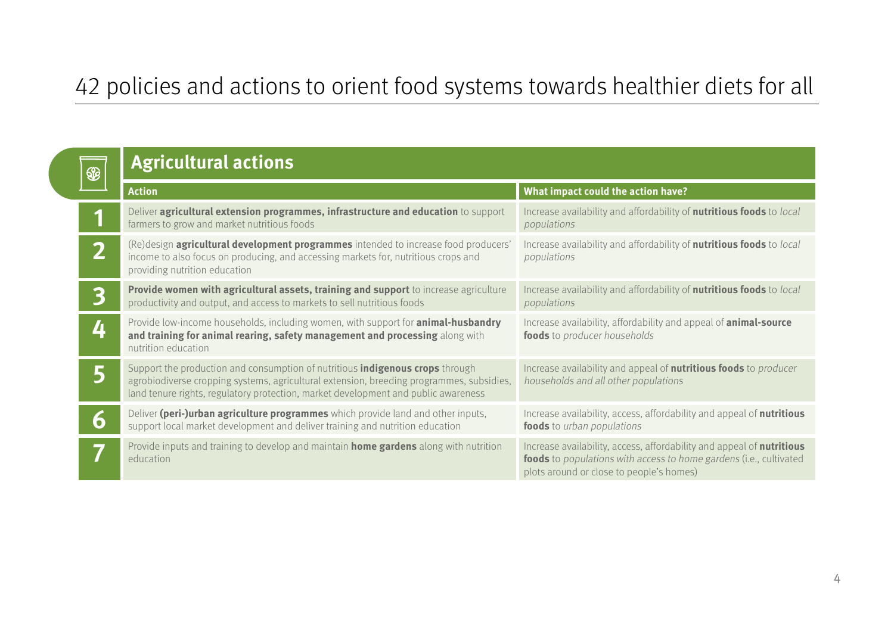# <span id="page-3-0"></span>42 policies and actions to orient food systems towards healthier diets for all

| \$             | <b>Agricultural actions</b>                                                                                                                                                                                                                                            |                                                                                                                                                                                         |  |
|----------------|------------------------------------------------------------------------------------------------------------------------------------------------------------------------------------------------------------------------------------------------------------------------|-----------------------------------------------------------------------------------------------------------------------------------------------------------------------------------------|--|
|                | <b>Action</b>                                                                                                                                                                                                                                                          | What impact could the action have?                                                                                                                                                      |  |
|                | Deliver agricultural extension programmes, infrastructure and education to support<br>farmers to grow and market nutritious foods                                                                                                                                      | Increase availability and affordability of <b>nutritious foods</b> to local<br>populations                                                                                              |  |
| $\bigcap$<br>L | (Re)design agricultural development programmes intended to increase food producers'<br>income to also focus on producing, and accessing markets for, nutritious crops and<br>providing nutrition education                                                             | Increase availability and affordability of <b>nutritious foods</b> to local<br>populations                                                                                              |  |
| 3              | Provide women with agricultural assets, training and support to increase agriculture<br>productivity and output, and access to markets to sell nutritious foods                                                                                                        | Increase availability and affordability of nutritious foods to local<br>populations                                                                                                     |  |
| 4              | Provide low-income households, including women, with support for <b>animal-husbandry</b><br>and training for animal rearing, safety management and processing along with<br>nutrition education                                                                        | Increase availability, affordability and appeal of <b>animal-source</b><br>foods to producer households                                                                                 |  |
|                | Support the production and consumption of nutritious <i>indigenous crops</i> through<br>agrobiodiverse cropping systems, agricultural extension, breeding programmes, subsidies,<br>land tenure rights, regulatory protection, market development and public awareness | Increase availability and appeal of <b>nutritious foods</b> to <i>producer</i><br>households and all other populations                                                                  |  |
| $\mathbf{O}$   | Deliver (peri-)urban agriculture programmes which provide land and other inputs,<br>support local market development and deliver training and nutrition education                                                                                                      | Increase availability, access, affordability and appeal of nutritious<br>foods to urban populations                                                                                     |  |
|                | Provide inputs and training to develop and maintain home gardens along with nutrition<br>education                                                                                                                                                                     | Increase availability, access, affordability and appeal of nutritious<br>foods to populations with access to home gardens (i.e., cultivated<br>plots around or close to people's homes) |  |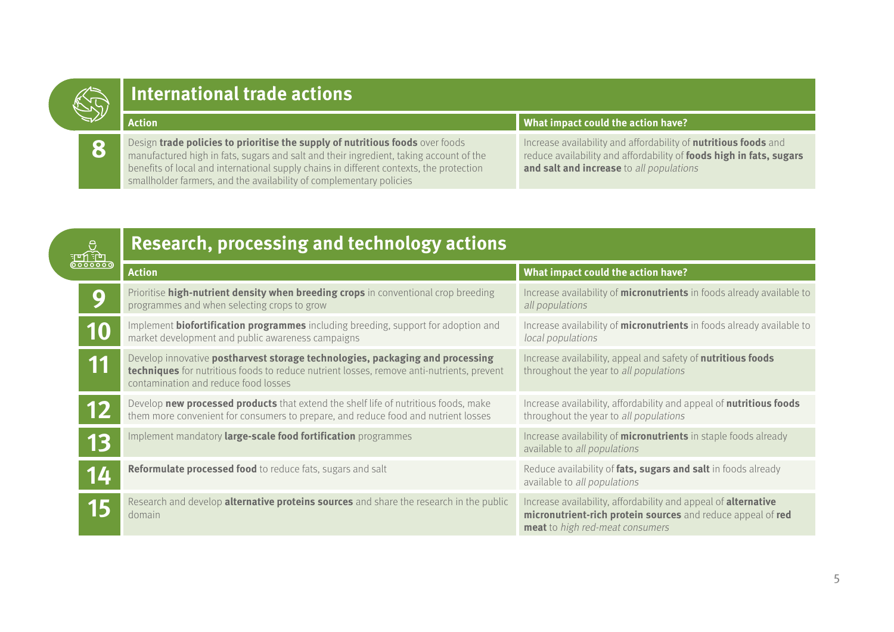# **International trade actions**

**Action What impact could the action have? 8** Design **trade policies to prioritise the supply of nutritious foods** over foods<br>manufactured high in fats, sugars and salt and their ingredient, taking account of the benefits of local and international supply chains in different contexts, the protection smallholder farmers, and the availability of complementary policies Increase availability and affordability of **nutritious foods** and reduce availability and affordability of **foods high in fats, sugars and salt and increase** to all populations

|           | Research, processing and technology actions                                                                                                                                                                        |                                                                                                                                                                         |
|-----------|--------------------------------------------------------------------------------------------------------------------------------------------------------------------------------------------------------------------|-------------------------------------------------------------------------------------------------------------------------------------------------------------------------|
|           | <b>Action</b>                                                                                                                                                                                                      | What impact could the action have?                                                                                                                                      |
|           | Prioritise high-nutrient density when breeding crops in conventional crop breeding<br>programmes and when selecting crops to grow                                                                                  | Increase availability of <i>micronutrients</i> in foods already available to<br>all populations                                                                         |
| <b>10</b> | Implement <b>biofortification programmes</b> including breeding, support for adoption and<br>market development and public awareness campaigns                                                                     | Increase availability of <b>micronutrients</b> in foods already available to<br>local populations                                                                       |
| 11        | Develop innovative postharvest storage technologies, packaging and processing<br>techniques for nutritious foods to reduce nutrient losses, remove anti-nutrients, prevent<br>contamination and reduce food losses | Increase availability, appeal and safety of nutritious foods<br>throughout the year to all populations                                                                  |
| 12        | Develop new processed products that extend the shelf life of nutritious foods, make<br>them more convenient for consumers to prepare, and reduce food and nutrient losses                                          | Increase availability, affordability and appeal of nutritious foods<br>throughout the year to all populations                                                           |
| 13        | Implement mandatory large-scale food fortification programmes                                                                                                                                                      | Increase availability of <b>micronutrients</b> in staple foods already<br>available to all populations                                                                  |
| 14        | Reformulate processed food to reduce fats, sugars and salt                                                                                                                                                         | Reduce availability of fats, sugars and salt in foods already<br>available to all populations                                                                           |
| 15        | Research and develop <b>alternative proteins sources</b> and share the research in the public<br>domain                                                                                                            | Increase availability, affordability and appeal of <b>alternative</b><br>micronutrient-rich protein sources and reduce appeal of red<br>meat to high red-meat consumers |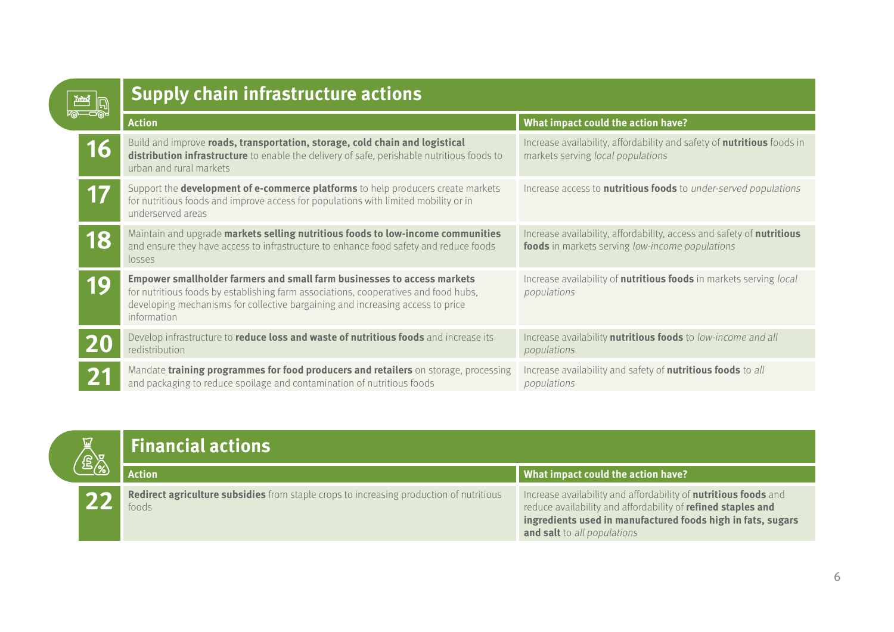| $\overline{\mathbb{R}}$ $\overline{\mathbb{D}}$ | <b>Supply chain infrastructure actions</b>                                                                                                                                                                                                                      |                                                                                                                          |  |
|-------------------------------------------------|-----------------------------------------------------------------------------------------------------------------------------------------------------------------------------------------------------------------------------------------------------------------|--------------------------------------------------------------------------------------------------------------------------|--|
|                                                 | <b>Action</b>                                                                                                                                                                                                                                                   | What impact could the action have?                                                                                       |  |
| 16                                              | Build and improve roads, transportation, storage, cold chain and logistical<br>distribution infrastructure to enable the delivery of safe, perishable nutritious foods to<br>urban and rural markets                                                            | Increase availability, affordability and safety of <b>nutritious</b> foods in<br>markets serving local populations       |  |
|                                                 | Support the <b>development of e-commerce platforms</b> to help producers create markets<br>for nutritious foods and improve access for populations with limited mobility or in<br>underserved areas                                                             | Increase access to <b>nutritious foods</b> to under-served populations                                                   |  |
| 18                                              | Maintain and upgrade markets selling nutritious foods to low-income communities<br>and ensure they have access to infrastructure to enhance food safety and reduce foods<br>losses                                                                              | Increase availability, affordability, access and safety of nutritious<br>foods in markets serving low-income populations |  |
| 19                                              | Empower smallholder farmers and small farm businesses to access markets<br>for nutritious foods by establishing farm associations, cooperatives and food hubs,<br>developing mechanisms for collective bargaining and increasing access to price<br>information | Increase availability of <b>nutritious foods</b> in markets serving local<br>populations                                 |  |
|                                                 | Develop infrastructure to reduce loss and waste of nutritious foods and increase its<br>redistribution                                                                                                                                                          | Increase availability nutritious foods to low-income and all<br>populations                                              |  |
|                                                 | Mandate training programmes for food producers and retailers on storage, processing<br>and packaging to reduce spoilage and contamination of nutritious foods                                                                                                   | Increase availability and safety of <b>nutritious foods</b> to all<br>populations                                        |  |

| <b>ROAD</b> | <b>Financial actions</b>                                                                         |                                                                                                                                                                                                                                      |
|-------------|--------------------------------------------------------------------------------------------------|--------------------------------------------------------------------------------------------------------------------------------------------------------------------------------------------------------------------------------------|
|             | <b>Action</b>                                                                                    | What impact could the action have?                                                                                                                                                                                                   |
|             | Redirect agriculture subsidies from staple crops to increasing production of nutritious<br>foods | Increase availability and affordability of <b>nutritious foods</b> and<br>reduce availability and affordability of refined staples and<br>ingredients used in manufactured foods high in fats, sugars<br>and salt to all populations |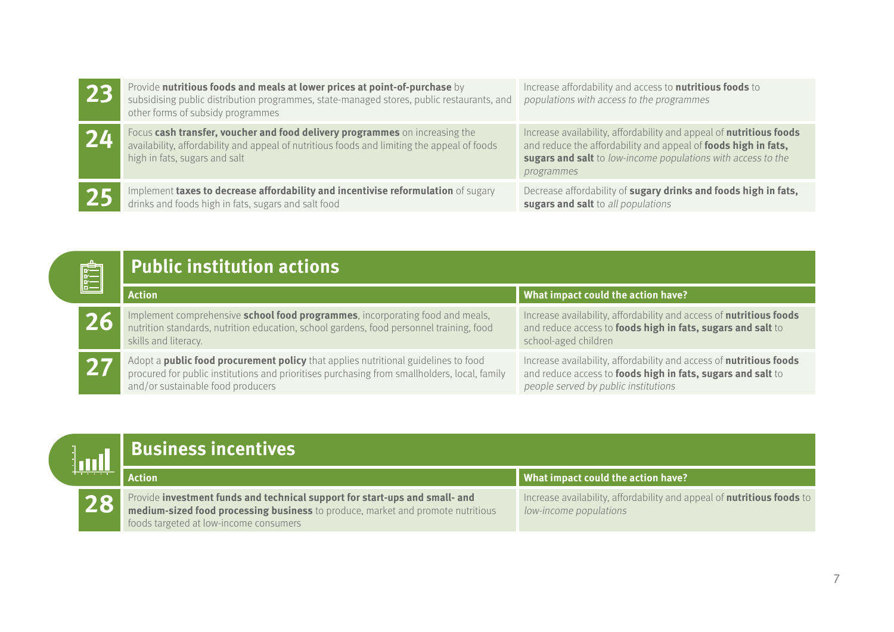| 23 | Provide nutritious foods and meals at lower prices at point-of-purchase by<br>subsidising public distribution programmes, state-managed stores, public restaurants, and<br>other forms of subsidy programmes | Increase affordability and access to <b>nutritious foods</b> to<br>populations with access to the programmes                                                                                                        |
|----|--------------------------------------------------------------------------------------------------------------------------------------------------------------------------------------------------------------|---------------------------------------------------------------------------------------------------------------------------------------------------------------------------------------------------------------------|
| 24 | Focus cash transfer, voucher and food delivery programmes on increasing the<br>availability, affordability and appeal of nutritious foods and limiting the appeal of foods<br>high in fats, sugars and salt  | Increase availability, affordability and appeal of nutritious foods<br>and reduce the affordability and appeal of foods high in fats,<br>sugars and salt to low-income populations with access to the<br>programmes |
| 25 | Implement taxes to decrease affordability and incentivise reformulation of sugary<br>drinks and foods high in fats, sugars and salt food                                                                     | Decrease affordability of sugary drinks and foods high in fats,<br>sugars and salt to all populations                                                                                                               |

| <b>Public institution actions</b> |  |
|-----------------------------------|--|
|                                   |  |

|    | <b>Public institution actions</b>                                                                                                                                                                                              |                                                                                                                                                                            |  |
|----|--------------------------------------------------------------------------------------------------------------------------------------------------------------------------------------------------------------------------------|----------------------------------------------------------------------------------------------------------------------------------------------------------------------------|--|
|    | <b>Action</b>                                                                                                                                                                                                                  | What impact could the action have?                                                                                                                                         |  |
| 26 | Implement comprehensive school food programmes, incorporating food and meals,<br>nutrition standards, nutrition education, school gardens, food personnel training, food<br>skills and literacy.                               | Increase availability, affordability and access of nutritious foods<br>and reduce access to foods high in fats, sugars and salt to<br>school-aged children                 |  |
|    | Adopt a <b>public food procurement policy</b> that applies nutritional guidelines to food<br>procured for public institutions and prioritises purchasing from smallholders, local, family<br>and/or sustainable food producers | Increase availability, affordability and access of nutritious foods<br>and reduce access to foods high in fats, sugars and salt to<br>people served by public institutions |  |

|  |  | Business incentives                                                                                                                                                                                             |                                                                                                         |
|--|--|-----------------------------------------------------------------------------------------------------------------------------------------------------------------------------------------------------------------|---------------------------------------------------------------------------------------------------------|
|  |  | Action                                                                                                                                                                                                          | What impact could the action have?                                                                      |
|  |  | <b>28</b> Provide investment funds and technical support for start-ups and small- and medium-sized food processing business to produce, market and promote nutritious<br>foods targeted at low-income consumers | Increase availability, affordability and appeal of <b>nutritious foods</b> to<br>low-income populations |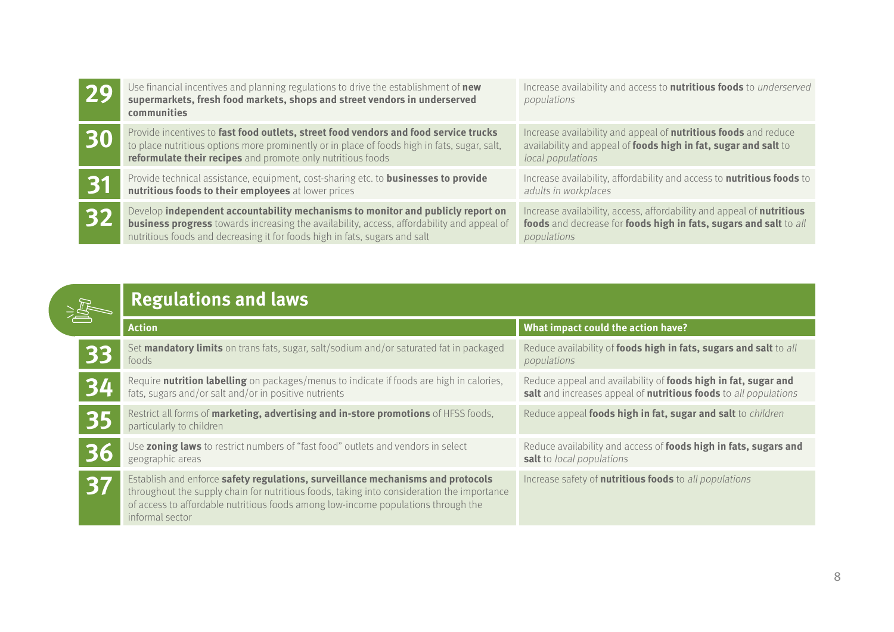| 29 | Use financial incentives and planning regulations to drive the establishment of new<br>supermarkets, fresh food markets, shops and street vendors in underserved<br><b>communities</b>                                                                             | Increase availability and access to <b>nutritious foods</b> to <i>underserved</i><br>populations                                                               |
|----|--------------------------------------------------------------------------------------------------------------------------------------------------------------------------------------------------------------------------------------------------------------------|----------------------------------------------------------------------------------------------------------------------------------------------------------------|
| 30 | Provide incentives to fast food outlets, street food vendors and food service trucks<br>to place nutritious options more prominently or in place of foods high in fats, sugar, salt,<br>reformulate their recipes and promote only nutritious foods                | Increase availability and appeal of <b>nutritious foods</b> and reduce<br>availability and appeal of foods high in fat, sugar and salt to<br>local populations |
| 31 | Provide technical assistance, equipment, cost-sharing etc. to <b>businesses to provide</b><br>nutritious foods to their employees at lower prices                                                                                                                  | Increase availability, affordability and access to <b>nutritious foods</b> to<br>adults in workplaces                                                          |
| 32 | Develop independent accountability mechanisms to monitor and publicly report on<br><b>business progress</b> towards increasing the availability, access, affordability and appeal of<br>nutritious foods and decreasing it for foods high in fats, sugars and salt | Increase availability, access, affordability and appeal of nutritious<br>foods and decrease for foods high in fats, sugars and salt to all<br>populations      |

|  | <b>Regulations and laws</b> |  |
|--|-----------------------------|--|
|--|-----------------------------|--|

|    | <b>Action</b>                                                                                                                                                                                                                                                                         | What impact could the action have?                                                                                                 |  |
|----|---------------------------------------------------------------------------------------------------------------------------------------------------------------------------------------------------------------------------------------------------------------------------------------|------------------------------------------------------------------------------------------------------------------------------------|--|
|    | Set mandatory limits on trans fats, sugar, salt/sodium and/or saturated fat in packaged<br>foods                                                                                                                                                                                      | Reduce availability of foods high in fats, sugars and salt to all<br>populations                                                   |  |
|    | Require nutrition labelling on packages/menus to indicate if foods are high in calories,<br>fats, sugars and/or salt and/or in positive nutrients                                                                                                                                     | Reduce appeal and availability of foods high in fat, sugar and<br>salt and increases appeal of nutritious foods to all populations |  |
| 35 | Restrict all forms of marketing, advertising and in-store promotions of HFSS foods,<br>particularly to children                                                                                                                                                                       | Reduce appeal foods high in fat, sugar and salt to children                                                                        |  |
|    | Use zoning laws to restrict numbers of "fast food" outlets and vendors in select<br>geographic areas                                                                                                                                                                                  | Reduce availability and access of foods high in fats, sugars and<br>salt to local populations                                      |  |
|    | Establish and enforce safety regulations, surveillance mechanisms and protocols<br>throughout the supply chain for nutritious foods, taking into consideration the importance<br>of access to affordable nutritious foods among low-income populations through the<br>informal sector | Increase safety of <b>nutritious foods</b> to all populations                                                                      |  |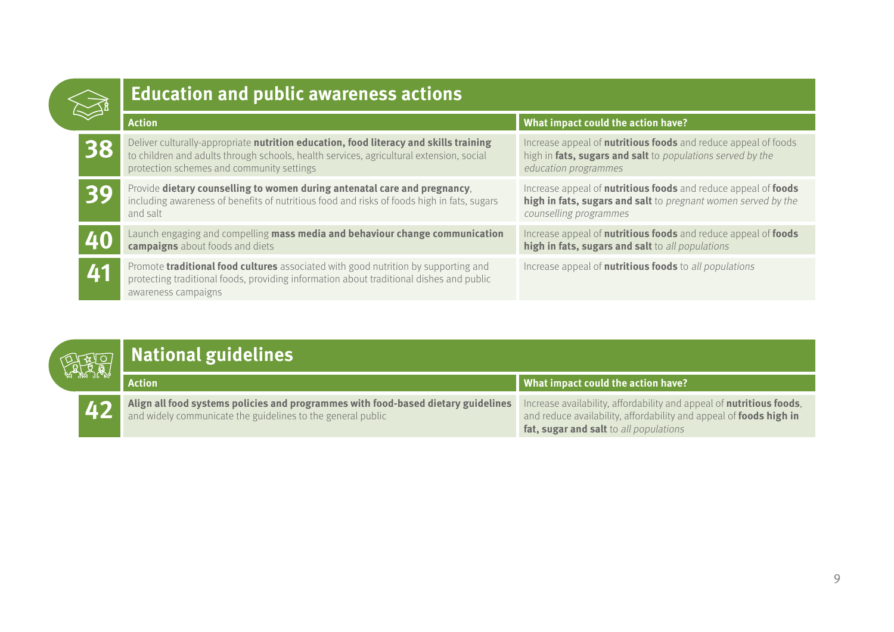|           | <b>Education and public awareness actions</b>                                                                                                                                                                                 |                                                                                                                                                             |  |
|-----------|-------------------------------------------------------------------------------------------------------------------------------------------------------------------------------------------------------------------------------|-------------------------------------------------------------------------------------------------------------------------------------------------------------|--|
|           | <b>Action</b>                                                                                                                                                                                                                 | What impact could the action have?                                                                                                                          |  |
| 38        | Deliver culturally-appropriate nutrition education, food literacy and skills training<br>to children and adults through schools, health services, agricultural extension, social<br>protection schemes and community settings | Increase appeal of <b>nutritious foods</b> and reduce appeal of foods<br>high in fats, sugars and salt to populations served by the<br>education programmes |  |
| BC        | Provide dietary counselling to women during antenatal care and pregnancy,<br>including awareness of benefits of nutritious food and risks of foods high in fats, sugars<br>and salt                                           | Increase appeal of nutritious foods and reduce appeal of foods<br>high in fats, sugars and salt to pregnant women served by the<br>counselling programmes   |  |
|           | Launch engaging and compelling mass media and behaviour change communication<br>campaigns about foods and diets                                                                                                               | Increase appeal of nutritious foods and reduce appeal of foods<br>high in fats, sugars and salt to all populations                                          |  |
| <b>A1</b> | Promote <b>traditional food cultures</b> associated with good nutrition by supporting and<br>protecting traditional foods, providing information about traditional dishes and public<br>awareness campaigns                   | Increase appeal of <b>nutritious foods</b> to all populations                                                                                               |  |

|    | <b>ATRIOT</b> National guidelines                                                                                                                |                                                                                                                                                                                      |
|----|--------------------------------------------------------------------------------------------------------------------------------------------------|--------------------------------------------------------------------------------------------------------------------------------------------------------------------------------------|
|    | <b>Action</b>                                                                                                                                    | What impact could the action have?                                                                                                                                                   |
| 42 | Align all food systems policies and programmes with food-based dietary guidelines<br>and widely communicate the guidelines to the general public | Increase availability, affordability and appeal of nutritious foods,<br>and reduce availability, affordability and appeal of foods high in<br>fat, sugar and salt to all populations |